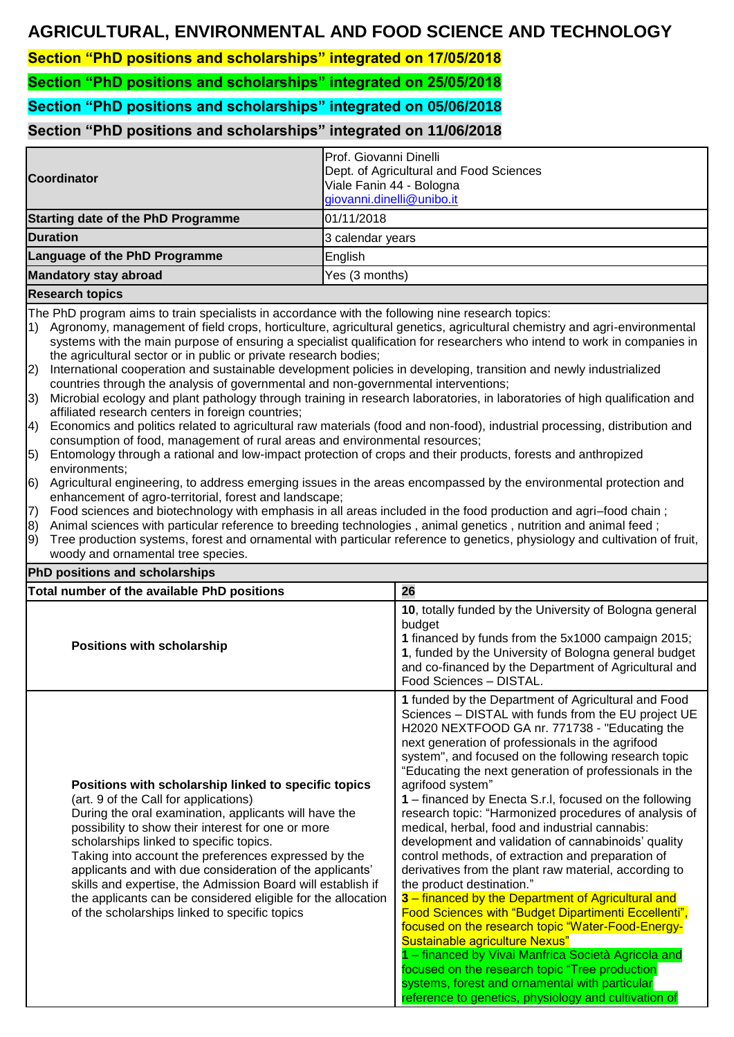## **AGRICULTURAL, ENVIRONMENTAL AND FOOD SCIENCE AND TECHNOLOGY**

**Section "PhD positions and scholarships" integrated on 17/05/2018**

**Section "PhD positions and scholarships" integrated on 25/05/2018**

**Section "PhD positions and scholarships" integrated on 05/06/2018**

## **Section "PhD positions and scholarships" integrated on 11/06/2018**

| <b>Coordinator</b>                        | Prof. Giovanni Dinelli<br>Dept. of Agricultural and Food Sciences<br>Viale Fanin 44 - Bologna<br>giovanni.dinelli@unibo.it |
|-------------------------------------------|----------------------------------------------------------------------------------------------------------------------------|
| <b>Starting date of the PhD Programme</b> | 01/11/2018                                                                                                                 |
| <b>Duration</b>                           | 3 calendar years                                                                                                           |
| Language of the PhD Programme             | English                                                                                                                    |
| <b>Mandatory stay abroad</b>              | Yes (3 months)                                                                                                             |
| <b>Research topics</b>                    |                                                                                                                            |

The PhD program aims to train specialists in accordance with the following nine research topics:

- 1) Agronomy, management of field crops, horticulture, agricultural genetics, agricultural chemistry and agri-environmental systems with the main purpose of ensuring a specialist qualification for researchers who intend to work in companies in the agricultural sector or in public or private research bodies;
- 2) International cooperation and sustainable development policies in developing, transition and newly industrialized countries through the analysis of governmental and non-governmental interventions;
- 3) Microbial ecology and plant pathology through training in research laboratories, in laboratories of high qualification and affiliated research centers in foreign countries;
- 4) Economics and politics related to agricultural raw materials (food and non-food), industrial processing, distribution and consumption of food, management of rural areas and environmental resources;
- 5) Entomology through a rational and low-impact protection of crops and their products, forests and anthropized environments;
- 6) Agricultural engineering, to address emerging issues in the areas encompassed by the environmental protection and enhancement of agro-territorial, forest and landscape;
- 7) Food sciences and biotechnology with emphasis in all areas included in the food production and agri–food chain ;
- 8) Animal sciences with particular reference to breeding technologies , animal genetics , nutrition and animal feed ;
- 9) Tree production systems, forest and ornamental with particular reference to genetics, physiology and cultivation of fruit, woody and ornamental tree species. **PhD positions and scholarships**

| <u>FIID positions and scholar ships</u>                                                                                                                                                                                                                                                                                                                                                                                                                                                                                                                     |                                                                                                                                                                                                                                                                                                                                                                                                                                                                                                                                                                                                                                                                                                                                                                                                                                                                                                                                                                                                                                                                                                                                                      |  |  |  |
|-------------------------------------------------------------------------------------------------------------------------------------------------------------------------------------------------------------------------------------------------------------------------------------------------------------------------------------------------------------------------------------------------------------------------------------------------------------------------------------------------------------------------------------------------------------|------------------------------------------------------------------------------------------------------------------------------------------------------------------------------------------------------------------------------------------------------------------------------------------------------------------------------------------------------------------------------------------------------------------------------------------------------------------------------------------------------------------------------------------------------------------------------------------------------------------------------------------------------------------------------------------------------------------------------------------------------------------------------------------------------------------------------------------------------------------------------------------------------------------------------------------------------------------------------------------------------------------------------------------------------------------------------------------------------------------------------------------------------|--|--|--|
| Total number of the available PhD positions                                                                                                                                                                                                                                                                                                                                                                                                                                                                                                                 | 26                                                                                                                                                                                                                                                                                                                                                                                                                                                                                                                                                                                                                                                                                                                                                                                                                                                                                                                                                                                                                                                                                                                                                   |  |  |  |
| <b>Positions with scholarship</b>                                                                                                                                                                                                                                                                                                                                                                                                                                                                                                                           | 10, totally funded by the University of Bologna general<br>budget<br>1 financed by funds from the 5x1000 campaign 2015;<br>1, funded by the University of Bologna general budget<br>and co-financed by the Department of Agricultural and<br>Food Sciences - DISTAL.                                                                                                                                                                                                                                                                                                                                                                                                                                                                                                                                                                                                                                                                                                                                                                                                                                                                                 |  |  |  |
| Positions with scholarship linked to specific topics<br>(art. 9 of the Call for applications)<br>During the oral examination, applicants will have the<br>possibility to show their interest for one or more<br>scholarships linked to specific topics.<br>Taking into account the preferences expressed by the<br>applicants and with due consideration of the applicants'<br>skills and expertise, the Admission Board will establish if<br>the applicants can be considered eligible for the allocation<br>of the scholarships linked to specific topics | 1 funded by the Department of Agricultural and Food<br>Sciences - DISTAL with funds from the EU project UE<br>H2020 NEXTFOOD GA nr. 771738 - "Educating the<br>next generation of professionals in the agrifood<br>system", and focused on the following research topic<br>"Educating the next generation of professionals in the<br>agrifood system"<br>1 – financed by Enecta S.r.I, focused on the following<br>research topic: "Harmonized procedures of analysis of<br>medical, herbal, food and industrial cannabis:<br>development and validation of cannabinoids' quality<br>control methods, of extraction and preparation of<br>derivatives from the plant raw material, according to<br>the product destination."<br>3 - financed by the Department of Agricultural and<br>Food Sciences with "Budget Dipartimenti Eccellenti",<br>focused on the research topic "Water-Food-Energy-<br>Sustainable agriculture Nexus"<br>1 - financed by Vivai Manfrica Società Agricola and<br>focused on the research topic "Tree production<br>systems, forest and ornamental with particular<br>reference to genetics, physiology and cultivation of |  |  |  |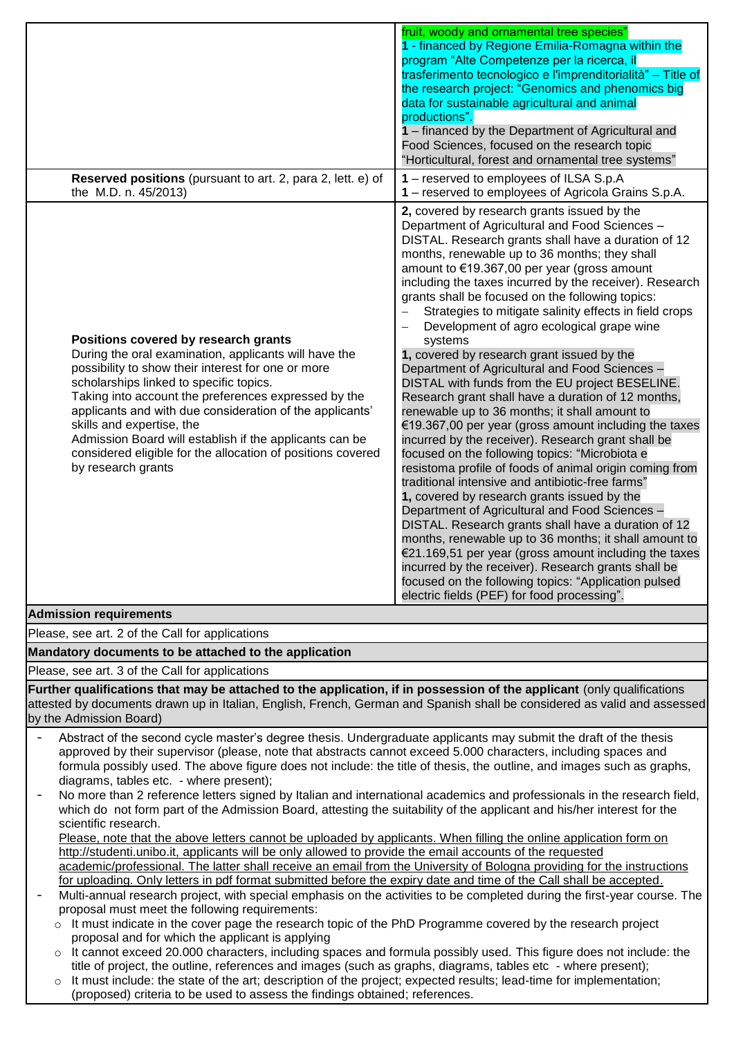|                          |                                                                                                                                                                                                                                                                                                                                                                                                                                                                                                                                                                                                                                                                                                                                                                                                                                                                                                                                                                                                                                                 | fruit, woody and ornamental tree species"<br>1 - financed by Regione Emilia-Romagna within the<br>program "Alte Competenze per la ricerca, il<br>trasferimento tecnologico e l'imprenditorialità" - Title of<br>the research project: "Genomics and phenomics big<br>data for sustainable agricultural and animal<br>productions".<br>1 - financed by the Department of Agricultural and<br>Food Sciences, focused on the research topic<br>"Horticultural, forest and ornamental tree systems"                                                                                                                                                                                                                                                                                                                                                                                                                                                                                                                                                                                                                                                                                                                                                                                                                                                                                                                                                                                                     |  |  |  |
|--------------------------|-------------------------------------------------------------------------------------------------------------------------------------------------------------------------------------------------------------------------------------------------------------------------------------------------------------------------------------------------------------------------------------------------------------------------------------------------------------------------------------------------------------------------------------------------------------------------------------------------------------------------------------------------------------------------------------------------------------------------------------------------------------------------------------------------------------------------------------------------------------------------------------------------------------------------------------------------------------------------------------------------------------------------------------------------|-----------------------------------------------------------------------------------------------------------------------------------------------------------------------------------------------------------------------------------------------------------------------------------------------------------------------------------------------------------------------------------------------------------------------------------------------------------------------------------------------------------------------------------------------------------------------------------------------------------------------------------------------------------------------------------------------------------------------------------------------------------------------------------------------------------------------------------------------------------------------------------------------------------------------------------------------------------------------------------------------------------------------------------------------------------------------------------------------------------------------------------------------------------------------------------------------------------------------------------------------------------------------------------------------------------------------------------------------------------------------------------------------------------------------------------------------------------------------------------------------------|--|--|--|
|                          | <b>Reserved positions</b> (pursuant to art. 2, para 2, lett. e) of<br>the M.D. n. 45/2013)                                                                                                                                                                                                                                                                                                                                                                                                                                                                                                                                                                                                                                                                                                                                                                                                                                                                                                                                                      | 1 - reserved to employees of ILSA S.p.A<br>1 - reserved to employees of Agricola Grains S.p.A.                                                                                                                                                                                                                                                                                                                                                                                                                                                                                                                                                                                                                                                                                                                                                                                                                                                                                                                                                                                                                                                                                                                                                                                                                                                                                                                                                                                                      |  |  |  |
|                          | Positions covered by research grants<br>During the oral examination, applicants will have the<br>possibility to show their interest for one or more<br>scholarships linked to specific topics.<br>Taking into account the preferences expressed by the<br>applicants and with due consideration of the applicants'<br>skills and expertise, the<br>Admission Board will establish if the applicants can be<br>considered eligible for the allocation of positions covered<br>by research grants                                                                                                                                                                                                                                                                                                                                                                                                                                                                                                                                                 | 2, covered by research grants issued by the<br>Department of Agricultural and Food Sciences -<br>DISTAL. Research grants shall have a duration of 12<br>months, renewable up to 36 months; they shall<br>amount to €19.367,00 per year (gross amount<br>including the taxes incurred by the receiver). Research<br>grants shall be focused on the following topics:<br>Strategies to mitigate salinity effects in field crops<br>Development of agro ecological grape wine<br>$\overline{\phantom{0}}$<br>systems<br>1, covered by research grant issued by the<br>Department of Agricultural and Food Sciences -<br>DISTAL with funds from the EU project BESELINE.<br>Research grant shall have a duration of 12 months,<br>renewable up to 36 months; it shall amount to<br>€19.367,00 per year (gross amount including the taxes<br>incurred by the receiver). Research grant shall be<br>focused on the following topics: "Microbiota e<br>resistoma profile of foods of animal origin coming from<br>traditional intensive and antibiotic-free farms"<br>1, covered by research grants issued by the<br>Department of Agricultural and Food Sciences -<br>DISTAL. Research grants shall have a duration of 12<br>months, renewable up to 36 months; it shall amount to<br>€21.169,51 per year (gross amount including the taxes<br>incurred by the receiver). Research grants shall be<br>focused on the following topics: "Application pulsed<br>electric fields (PEF) for food processing". |  |  |  |
|                          | <b>Admission requirements</b>                                                                                                                                                                                                                                                                                                                                                                                                                                                                                                                                                                                                                                                                                                                                                                                                                                                                                                                                                                                                                   |                                                                                                                                                                                                                                                                                                                                                                                                                                                                                                                                                                                                                                                                                                                                                                                                                                                                                                                                                                                                                                                                                                                                                                                                                                                                                                                                                                                                                                                                                                     |  |  |  |
|                          | Please, see art. 2 of the Call for applications                                                                                                                                                                                                                                                                                                                                                                                                                                                                                                                                                                                                                                                                                                                                                                                                                                                                                                                                                                                                 |                                                                                                                                                                                                                                                                                                                                                                                                                                                                                                                                                                                                                                                                                                                                                                                                                                                                                                                                                                                                                                                                                                                                                                                                                                                                                                                                                                                                                                                                                                     |  |  |  |
|                          | Mandatory documents to be attached to the application                                                                                                                                                                                                                                                                                                                                                                                                                                                                                                                                                                                                                                                                                                                                                                                                                                                                                                                                                                                           |                                                                                                                                                                                                                                                                                                                                                                                                                                                                                                                                                                                                                                                                                                                                                                                                                                                                                                                                                                                                                                                                                                                                                                                                                                                                                                                                                                                                                                                                                                     |  |  |  |
|                          | Please, see art. 3 of the Call for applications                                                                                                                                                                                                                                                                                                                                                                                                                                                                                                                                                                                                                                                                                                                                                                                                                                                                                                                                                                                                 |                                                                                                                                                                                                                                                                                                                                                                                                                                                                                                                                                                                                                                                                                                                                                                                                                                                                                                                                                                                                                                                                                                                                                                                                                                                                                                                                                                                                                                                                                                     |  |  |  |
|                          | Further qualifications that may be attached to the application, if in possession of the applicant (only qualifications<br>attested by documents drawn up in Italian, English, French, German and Spanish shall be considered as valid and assessed<br>by the Admission Board)                                                                                                                                                                                                                                                                                                                                                                                                                                                                                                                                                                                                                                                                                                                                                                   |                                                                                                                                                                                                                                                                                                                                                                                                                                                                                                                                                                                                                                                                                                                                                                                                                                                                                                                                                                                                                                                                                                                                                                                                                                                                                                                                                                                                                                                                                                     |  |  |  |
| $\overline{\phantom{a}}$ | Abstract of the second cycle master's degree thesis. Undergraduate applicants may submit the draft of the thesis<br>approved by their supervisor (please, note that abstracts cannot exceed 5.000 characters, including spaces and<br>formula possibly used. The above figure does not include: the title of thesis, the outline, and images such as graphs,<br>diagrams, tables etc. - where present);<br>No more than 2 reference letters signed by Italian and international academics and professionals in the research field,<br>which do not form part of the Admission Board, attesting the suitability of the applicant and his/her interest for the<br>scientific research.<br>Please, note that the above letters cannot be uploaded by applicants. When filling the online application form on<br>http://studenti.unibo.it, applicants will be only allowed to provide the email accounts of the requested<br>academic/professional. The latter shall receive an email from the University of Bologna providing for the instructions |                                                                                                                                                                                                                                                                                                                                                                                                                                                                                                                                                                                                                                                                                                                                                                                                                                                                                                                                                                                                                                                                                                                                                                                                                                                                                                                                                                                                                                                                                                     |  |  |  |
| $\overline{\phantom{a}}$ | for uploading. Only letters in pdf format submitted before the expiry date and time of the Call shall be accepted.<br>Multi-annual research project, with special emphasis on the activities to be completed during the first-year course. The<br>proposal must meet the following requirements:<br>It must indicate in the cover page the research topic of the PhD Programme covered by the research project<br>$\circ$<br>proposal and for which the applicant is applying<br>It cannot exceed 20.000 characters, including spaces and formula possibly used. This figure does not include: the<br>$\circ$<br>title of project, the outline, references and images (such as graphs, diagrams, tables etc - where present);<br>It must include: the state of the art; description of the project; expected results; lead-time for implementation;<br>$\circ$                                                                                                                                                                                  |                                                                                                                                                                                                                                                                                                                                                                                                                                                                                                                                                                                                                                                                                                                                                                                                                                                                                                                                                                                                                                                                                                                                                                                                                                                                                                                                                                                                                                                                                                     |  |  |  |

(proposed) criteria to be used to assess the findings obtained; references.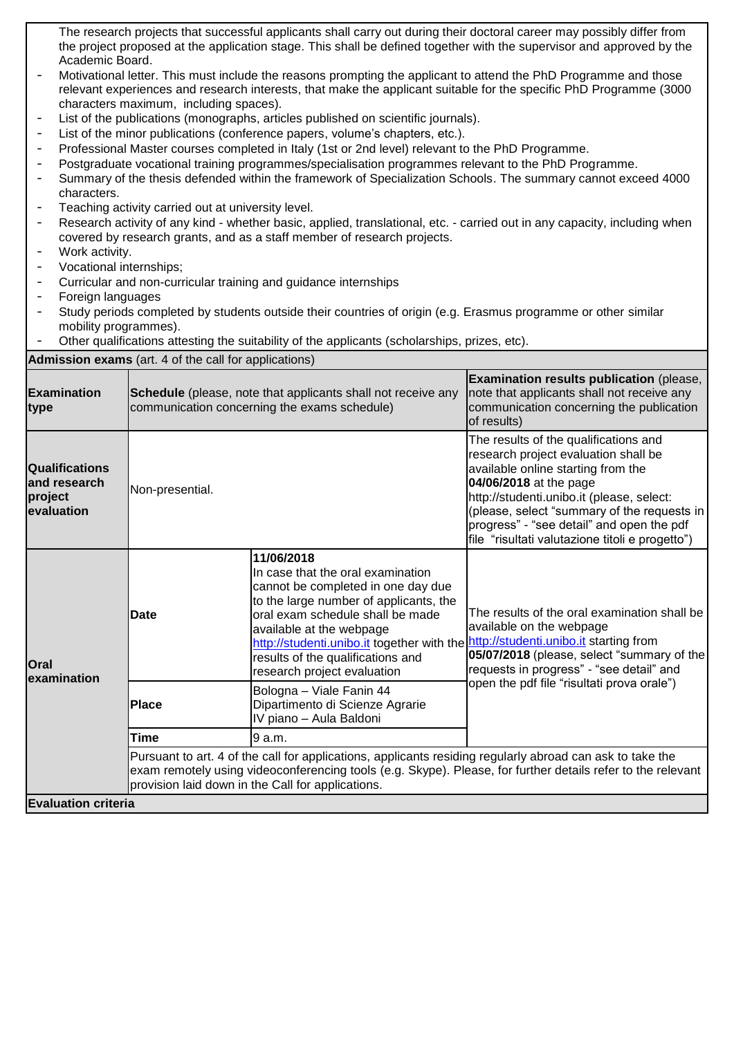The research projects that successful applicants shall carry out during their doctoral career may possibly differ from the project proposed at the application stage. This shall be defined together with the supervisor and approved by the Academic Board.

- Motivational letter. This must include the reasons prompting the applicant to attend the PhD Programme and those relevant experiences and research interests, that make the applicant suitable for the specific PhD Programme (3000 characters maximum, including spaces).
- List of the publications (monographs, articles published on scientific journals).
- List of the minor publications (conference papers, volume's chapters, etc.).
- Professional Master courses completed in Italy (1st or 2nd level) relevant to the PhD Programme.
- Postgraduate vocational training programmes/specialisation programmes relevant to the PhD Programme.
- Summary of the thesis defended within the framework of Specialization Schools. The summary cannot exceed 4000 characters.
- Teaching activity carried out at university level.
- Research activity of any kind whether basic, applied, translational, etc. carried out in any capacity, including when covered by research grants, and as a staff member of research projects.
- Work activity.
- Vocational internships;
- Curricular and non-curricular training and guidance internships
- Foreign languages
- Study periods completed by students outside their countries of origin (e.g. Erasmus programme or other similar mobility programmes).
- Other qualifications attesting the suitability of the applicants (scholarships, prizes, etc).

**Admission exams** (art. 4 of the call for applications)

| <b>Examination</b><br>type                                     | <b>Schedule</b> (please, note that applicants shall not receive any<br>communication concerning the exams schedule)                                                                                                                                                           |                                                                                                                                                                                                                                                                                                                   | Examination results publication (please,<br>note that applicants shall not receive any<br>communication concerning the publication<br>of results)                                                                                                                                                                                         |
|----------------------------------------------------------------|-------------------------------------------------------------------------------------------------------------------------------------------------------------------------------------------------------------------------------------------------------------------------------|-------------------------------------------------------------------------------------------------------------------------------------------------------------------------------------------------------------------------------------------------------------------------------------------------------------------|-------------------------------------------------------------------------------------------------------------------------------------------------------------------------------------------------------------------------------------------------------------------------------------------------------------------------------------------|
| <b>Qualifications</b><br>and research<br>project<br>evaluation | Non-presential.                                                                                                                                                                                                                                                               |                                                                                                                                                                                                                                                                                                                   | The results of the qualifications and<br>research project evaluation shall be<br>available online starting from the<br>04/06/2018 at the page<br>http://studenti.unibo.it (please, select:<br>(please, select "summary of the requests in<br>progress" - "see detail" and open the pdf<br>file "risultati valutazione titoli e progetto") |
| <b>Oral</b><br>examination                                     | Date                                                                                                                                                                                                                                                                          | 11/06/2018<br>In case that the oral examination<br>cannot be completed in one day due<br>to the large number of applicants, the<br>oral exam schedule shall be made<br>available at the webpage<br>http://studenti.unibo.it together with the<br>results of the qualifications and<br>research project evaluation | The results of the oral examination shall be<br>available on the webpage<br>http://studenti.unibo.it starting from<br>05/07/2018 (please, select "summary of the<br>requests in progress" - "see detail" and<br>open the pdf file "risultati prova orale")                                                                                |
|                                                                | <b>Place</b>                                                                                                                                                                                                                                                                  | Bologna - Viale Fanin 44<br>Dipartimento di Scienze Agrarie<br>IV piano - Aula Baldoni                                                                                                                                                                                                                            |                                                                                                                                                                                                                                                                                                                                           |
|                                                                | <b>Time</b>                                                                                                                                                                                                                                                                   | 9 a.m.                                                                                                                                                                                                                                                                                                            |                                                                                                                                                                                                                                                                                                                                           |
|                                                                | Pursuant to art. 4 of the call for applications, applicants residing regularly abroad can ask to take the<br>exam remotely using videoconferencing tools (e.g. Skype). Please, for further details refer to the relevant<br>provision laid down in the Call for applications. |                                                                                                                                                                                                                                                                                                                   |                                                                                                                                                                                                                                                                                                                                           |
| <b>Evaluation criteria</b>                                     |                                                                                                                                                                                                                                                                               |                                                                                                                                                                                                                                                                                                                   |                                                                                                                                                                                                                                                                                                                                           |